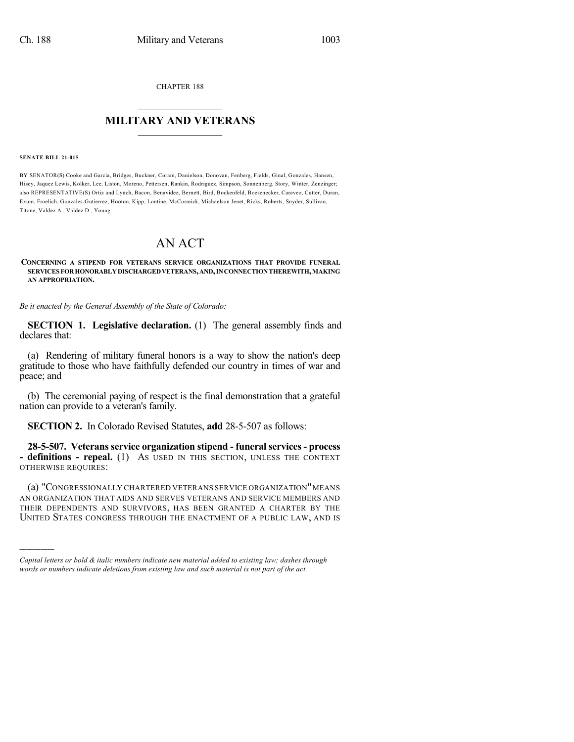CHAPTER 188

## $\mathcal{L}_\text{max}$  . The set of the set of the set of the set of the set of the set of the set of the set of the set of the set of the set of the set of the set of the set of the set of the set of the set of the set of the set **MILITARY AND VETERANS**  $\_$

## **SENATE BILL 21-015**

)))))

BY SENATOR(S) Cooke and Garcia, Bridges, Buckner, Coram, Danielson, Donovan, Fenberg, Fields, Ginal, Gonzales, Hansen, Hisey, Jaquez Lewis, Kolker, Lee, Liston, Moreno, Pettersen, Rankin, Rodriguez, Simpson, Sonnenberg, Story, Winter, Zenzinger; also REPRESENTATIVE(S) Ortiz and Lynch, Bacon, Benavidez, Bernett, Bird, Bockenfeld, Boesenecker, Caraveo, Cutter, Duran, Exum, Froelich, Gonzales-Gutierrez, Hooton, Kipp, Lontine, McCormick, Michaelson Jenet, Ricks, Roberts, Snyder, Sullivan, Titone, Valdez A., Valdez D., Young.

## AN ACT

## **CONCERNING A STIPEND FOR VETERANS SERVICE ORGANIZATIONS THAT PROVIDE FUNERAL SERVICES FORHONORABLYDISCHARGEDVETERANS,AND,INCONNECTIONTHEREWITH,MAKING AN APPROPRIATION.**

*Be it enacted by the General Assembly of the State of Colorado:*

**SECTION 1. Legislative declaration.** (1) The general assembly finds and declares that:

(a) Rendering of military funeral honors is a way to show the nation's deep gratitude to those who have faithfully defended our country in times of war and peace; and

(b) The ceremonial paying of respect is the final demonstration that a grateful nation can provide to a veteran's family.

**SECTION 2.** In Colorado Revised Statutes, **add** 28-5-507 as follows:

**28-5-507. Veteransservice organization stipend - funeralservices- process - definitions - repeal.** (1) AS USED IN THIS SECTION, UNLESS THE CONTEXT OTHERWISE REQUIRES:

(a) "CONGRESSIONALLY CHARTERED VETERANS SERVICE ORGANIZATION"MEANS AN ORGANIZATION THAT AIDS AND SERVES VETERANS AND SERVICE MEMBERS AND THEIR DEPENDENTS AND SURVIVORS, HAS BEEN GRANTED A CHARTER BY THE UNITED STATES CONGRESS THROUGH THE ENACTMENT OF A PUBLIC LAW, AND IS

*Capital letters or bold & italic numbers indicate new material added to existing law; dashes through words or numbers indicate deletions from existing law and such material is not part of the act.*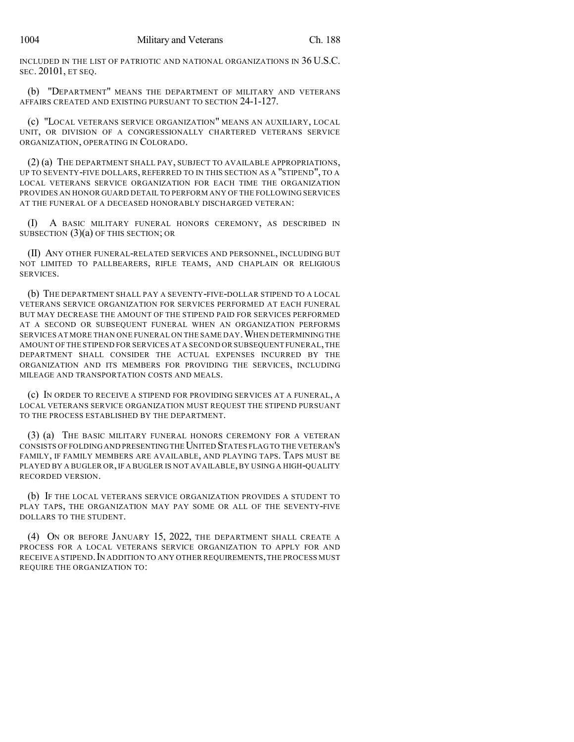INCLUDED IN THE LIST OF PATRIOTIC AND NATIONAL ORGANIZATIONS IN 36 U.S.C. SEC. 20101, ET SEQ.

(b) "DEPARTMENT" MEANS THE DEPARTMENT OF MILITARY AND VETERANS AFFAIRS CREATED AND EXISTING PURSUANT TO SECTION 24-1-127.

(c) "LOCAL VETERANS SERVICE ORGANIZATION" MEANS AN AUXILIARY, LOCAL UNIT, OR DIVISION OF A CONGRESSIONALLY CHARTERED VETERANS SERVICE ORGANIZATION, OPERATING IN COLORADO.

(2) (a) THE DEPARTMENT SHALL PAY, SUBJECT TO AVAILABLE APPROPRIATIONS, UP TO SEVENTY-FIVE DOLLARS, REFERRED TO IN THIS SECTION AS A "STIPEND", TO A LOCAL VETERANS SERVICE ORGANIZATION FOR EACH TIME THE ORGANIZATION PROVIDES AN HONOR GUARD DETAIL TO PERFORM ANY OF THE FOLLOWING SERVICES AT THE FUNERAL OF A DECEASED HONORABLY DISCHARGED VETERAN:

(I) A BASIC MILITARY FUNERAL HONORS CEREMONY, AS DESCRIBED IN SUBSECTION  $(3)(a)$  OF THIS SECTION; OR

(II) ANY OTHER FUNERAL-RELATED SERVICES AND PERSONNEL, INCLUDING BUT NOT LIMITED TO PALLBEARERS, RIFLE TEAMS, AND CHAPLAIN OR RELIGIOUS SERVICES.

(b) THE DEPARTMENT SHALL PAY A SEVENTY-FIVE-DOLLAR STIPEND TO A LOCAL VETERANS SERVICE ORGANIZATION FOR SERVICES PERFORMED AT EACH FUNERAL BUT MAY DECREASE THE AMOUNT OF THE STIPEND PAID FOR SERVICES PERFORMED AT A SECOND OR SUBSEQUENT FUNERAL WHEN AN ORGANIZATION PERFORMS SERVICES AT MORE THAN ONE FUNERAL ON THE SAME DAY.WHEN DETERMINING THE AMOUNT OF THE STIPEND FOR SERVICES AT A SECOND OR SUBSEQUENT FUNERAL,THE DEPARTMENT SHALL CONSIDER THE ACTUAL EXPENSES INCURRED BY THE ORGANIZATION AND ITS MEMBERS FOR PROVIDING THE SERVICES, INCLUDING MILEAGE AND TRANSPORTATION COSTS AND MEALS.

(c) IN ORDER TO RECEIVE A STIPEND FOR PROVIDING SERVICES AT A FUNERAL, A LOCAL VETERANS SERVICE ORGANIZATION MUST REQUEST THE STIPEND PURSUANT TO THE PROCESS ESTABLISHED BY THE DEPARTMENT.

(3) (a) THE BASIC MILITARY FUNERAL HONORS CEREMONY FOR A VETERAN CONSISTS OF FOLDING AND PRESENTING THE UNITED STATES FLAGTO THE VETERAN'S FAMILY, IF FAMILY MEMBERS ARE AVAILABLE, AND PLAYING TAPS. TAPS MUST BE PLAYED BY A BUGLER OR, IF A BUGLER IS NOT AVAILABLE, BY USING A HIGH-QUALITY RECORDED VERSION.

(b) IF THE LOCAL VETERANS SERVICE ORGANIZATION PROVIDES A STUDENT TO PLAY TAPS, THE ORGANIZATION MAY PAY SOME OR ALL OF THE SEVENTY-FIVE DOLLARS TO THE STUDENT.

(4) ON OR BEFORE JANUARY 15, 2022, THE DEPARTMENT SHALL CREATE A PROCESS FOR A LOCAL VETERANS SERVICE ORGANIZATION TO APPLY FOR AND RECEIVE A STIPEND. IN ADDITION TO ANY OTHER REQUIREMENTS, THE PROCESS MUST REQUIRE THE ORGANIZATION TO: